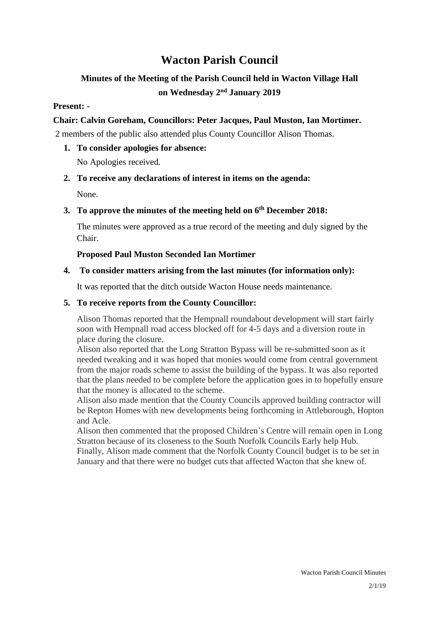# **Wacton Parish Council**

## **Minutes of the Meeting of the Parish Council held in Wacton Village Hall on Wednesday 2 nd January 2019**

## **Present: -**

## **Chair: Calvin Goreham, Councillors: Peter Jacques, Paul Muston, Ian Mortimer.**

2 members of the public also attended plus County Councillor Alison Thomas.

**1. To consider apologies for absence:**

No Apologies received.

## **2. To receive any declarations of interest in items on the agenda:**

None.

## **3. To approve the minutes of the meeting held on 6 th December 2018:**

The minutes were approved as a true record of the meeting and duly signed by the Chair.

## **Proposed Paul Muston Seconded Ian Mortimer**

## **4. To consider matters arising from the last minutes (for information only):**

It was reported that the ditch outside Wacton House needs maintenance.

## **5. To receive reports from the County Councillor:**

Alison Thomas reported that the Hempnall roundabout development will start fairly soon with Hempnall road access blocked off for 4-5 days and a diversion route in place during the closure.

Alison also reported that the Long Stratton Bypass will be re-submitted soon as it needed tweaking and it was hoped that monies would come from central government from the major roads scheme to assist the building of the bypass. It was also reported that the plans needed to be complete before the application goes in to hopefully ensure that the money is allocated to the scheme.

Alison also made mention that the County Councils approved building contractor will be Repton Homes with new developments being forthcoming in Attleborough, Hopton and Acle.

Alison then commented that the proposed Children's Centre will remain open in Long Stratton because of its closeness to the South Norfolk Councils Early help Hub. Finally, Alison made comment that the Norfolk County Council budget is to be set in January and that there were no budget cuts that affected Wacton that she knew of.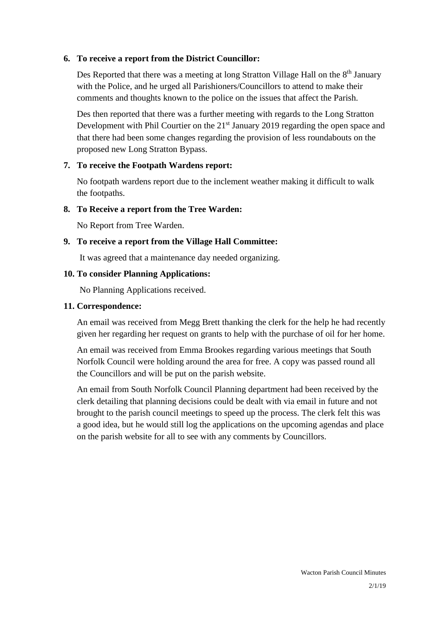## **6. To receive a report from the District Councillor:**

Des Reported that there was a meeting at long Stratton Village Hall on the 8<sup>th</sup> January with the Police, and he urged all Parishioners/Councillors to attend to make their comments and thoughts known to the police on the issues that affect the Parish.

Des then reported that there was a further meeting with regards to the Long Stratton Development with Phil Courtier on the 21<sup>st</sup> January 2019 regarding the open space and that there had been some changes regarding the provision of less roundabouts on the proposed new Long Stratton Bypass.

#### **7. To receive the Footpath Wardens report:**

No footpath wardens report due to the inclement weather making it difficult to walk the footpaths.

#### **8. To Receive a report from the Tree Warden:**

No Report from Tree Warden.

#### **9. To receive a report from the Village Hall Committee:**

It was agreed that a maintenance day needed organizing.

#### **10. To consider Planning Applications:**

No Planning Applications received.

#### **11. Correspondence:**

An email was received from Megg Brett thanking the clerk for the help he had recently given her regarding her request on grants to help with the purchase of oil for her home.

An email was received from Emma Brookes regarding various meetings that South Norfolk Council were holding around the area for free. A copy was passed round all the Councillors and will be put on the parish website.

An email from South Norfolk Council Planning department had been received by the clerk detailing that planning decisions could be dealt with via email in future and not brought to the parish council meetings to speed up the process. The clerk felt this was a good idea, but he would still log the applications on the upcoming agendas and place on the parish website for all to see with any comments by Councillors.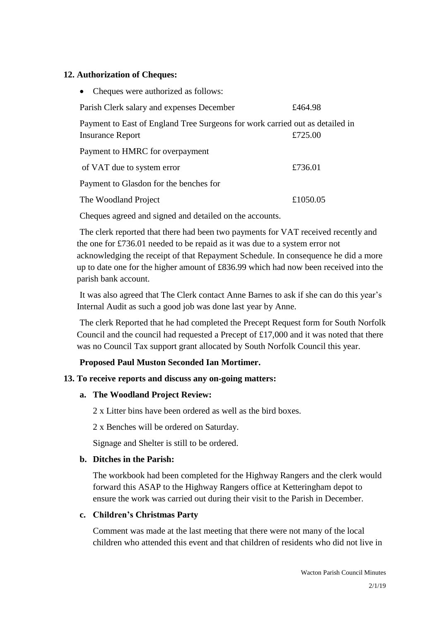#### **12. Authorization of Cheques:**

| £464.98                                                                      |
|------------------------------------------------------------------------------|
| Payment to East of England Tree Surgeons for work carried out as detailed in |
| £725.00                                                                      |
|                                                                              |
| £736.01                                                                      |
|                                                                              |
| £1050.05                                                                     |
|                                                                              |

Cheques agreed and signed and detailed on the accounts.

The clerk reported that there had been two payments for VAT received recently and the one for £736.01 needed to be repaid as it was due to a system error not acknowledging the receipt of that Repayment Schedule. In consequence he did a more up to date one for the higher amount of £836.99 which had now been received into the parish bank account.

It was also agreed that The Clerk contact Anne Barnes to ask if she can do this year's Internal Audit as such a good job was done last year by Anne.

The clerk Reported that he had completed the Precept Request form for South Norfolk Council and the council had requested a Precept of £17,000 and it was noted that there was no Council Tax support grant allocated by South Norfolk Council this year.

## **Proposed Paul Muston Seconded Ian Mortimer.**

## **13. To receive reports and discuss any on-going matters:**

## **a. The Woodland Project Review:**

2 x Litter bins have been ordered as well as the bird boxes.

2 x Benches will be ordered on Saturday.

Signage and Shelter is still to be ordered.

## **b. Ditches in the Parish:**

The workbook had been completed for the Highway Rangers and the clerk would forward this ASAP to the Highway Rangers office at Ketteringham depot to ensure the work was carried out during their visit to the Parish in December.

## **c. Children's Christmas Party**

Comment was made at the last meeting that there were not many of the local children who attended this event and that children of residents who did not live in